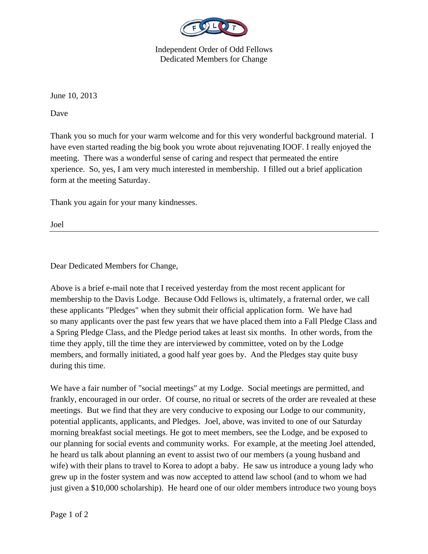

Independent Order of Odd Fellows Dedicated Members for Change

June 10, 2013

Dave

Thank you so much for your warm welcome and for this very wonderful background material. I have even started reading the big book you wrote about rejuvenating IOOF. I really enjoyed the meeting. There was a wonderful sense of caring and respect that permeated the entire xperience. So, yes, I am very much interested in membership. I filled out a brief application form at the meeting Saturday.

Thank you again for your many kindnesses.

Joel

Dear Dedicated Members for Change,

Above is a brief e-mail note that I received yesterday from the most recent applicant for membership to the Davis Lodge. Because Odd Fellows is, ultimately, a fraternal order, we call these applicants "Pledges" when they submit their official application form. We have had so many applicants over the past few years that we have placed them into a Fall Pledge Class and a Spring Pledge Class, and the Pledge period takes at least six months. In other words, from the time they apply, till the time they are interviewed by committee, voted on by the Lodge members, and formally initiated, a good half year goes by. And the Pledges stay quite busy during this time.

We have a fair number of "social meetings" at my Lodge. Social meetings are permitted, and frankly, encouraged in our order. Of course, no ritual or secrets of the order are revealed at these meetings. But we find that they are very conducive to exposing our Lodge to our community, potential applicants, applicants, and Pledges. Joel, above, was invited to one of our Saturday morning breakfast social meetings. He got to meet members, see the Lodge, and be exposed to our planning for social events and community works. For example, at the meeting Joel attended, he heard us talk about planning an event to assist two of our members (a young husband and wife) with their plans to travel to Korea to adopt a baby. He saw us introduce a young lady who grew up in the foster system and was now accepted to attend law school (and to whom we had just given a \$10,000 scholarship). He heard one of our older members introduce two young boys